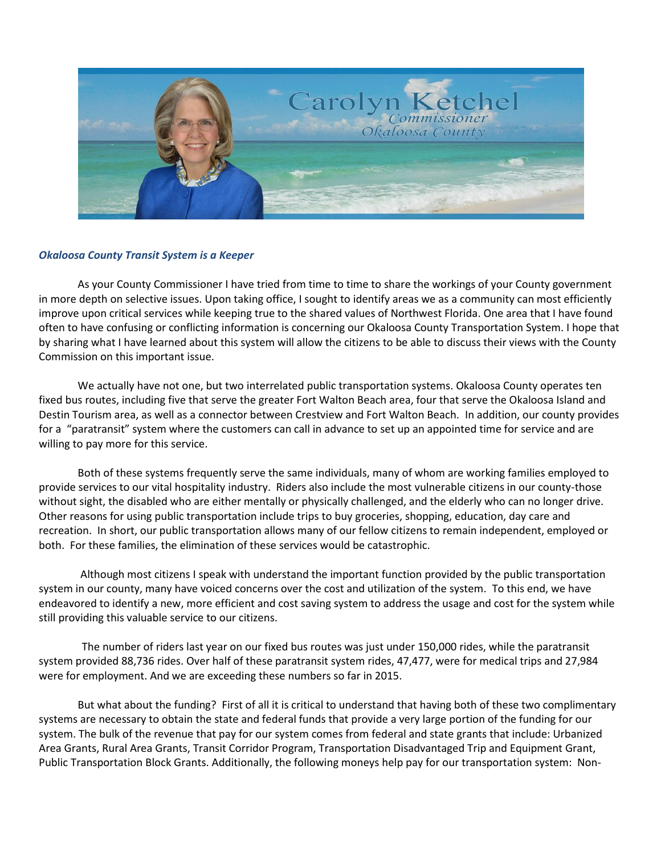

## *Okaloosa County Transit System is a Keeper*

As your County Commissioner I have tried from time to time to share the workings of your County government in more depth on selective issues. Upon taking office, I sought to identify areas we as a community can most efficiently improve upon critical services while keeping true to the shared values of Northwest Florida. One area that I have found often to have confusing or conflicting information is concerning our Okaloosa County Transportation System. I hope that by sharing what I have learned about this system will allow the citizens to be able to discuss their views with the County Commission on this important issue.

We actually have not one, but two interrelated public transportation systems. Okaloosa County operates ten fixed bus routes, including five that serve the greater Fort Walton Beach area, four that serve the Okaloosa Island and Destin Tourism area, as well as a connector between Crestview and Fort Walton Beach. In addition, our county provides for a "paratransit" system where the customers can call in advance to set up an appointed time for service and are willing to pay more for this service.

Both of these systems frequently serve the same individuals, many of whom are working families employed to provide services to our vital hospitality industry. Riders also include the most vulnerable citizens in our county-those without sight, the disabled who are either mentally or physically challenged, and the elderly who can no longer drive. Other reasons for using public transportation include trips to buy groceries, shopping, education, day care and recreation. In short, our public transportation allows many of our fellow citizens to remain independent, employed or both. For these families, the elimination of these services would be catastrophic.

Although most citizens I speak with understand the important function provided by the public transportation system in our county, many have voiced concerns over the cost and utilization of the system. To this end, we have endeavored to identify a new, more efficient and cost saving system to address the usage and cost for the system while still providing this valuable service to our citizens.

 The number of riders last year on our fixed bus routes was just under 150,000 rides, while the paratransit system provided 88,736 rides. Over half of these paratransit system rides, 47,477, were for medical trips and 27,984 were for employment. And we are exceeding these numbers so far in 2015.

But what about the funding? First of all it is critical to understand that having both of these two complimentary systems are necessary to obtain the state and federal funds that provide a very large portion of the funding for our system. The bulk of the revenue that pay for our system comes from federal and state grants that include: Urbanized Area Grants, Rural Area Grants, Transit Corridor Program, Transportation Disadvantaged Trip and Equipment Grant, Public Transportation Block Grants. Additionally, the following moneys help pay for our transportation system: Non